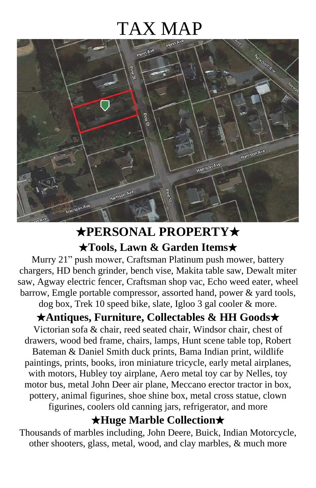# TAX MAP



# ★**PERSONAL PROPERTY**★

★**Tools, Lawn & Garden Items**★

Murry 21" push mower, Craftsman Platinum push mower, battery chargers, HD bench grinder, bench vise, Makita table saw, Dewalt miter saw, Agway electric fencer, Craftsman shop vac, Echo weed eater, wheel barrow, Emgle portable compressor, assorted hand, power & yard tools, dog box, Trek 10 speed bike, slate, Igloo 3 gal cooler & more.

#### ★**Antiques, Furniture, Collectables & HH Goods**★

Victorian sofa & chair, reed seated chair, Windsor chair, chest of drawers, wood bed frame, chairs, lamps, Hunt scene table top, Robert Bateman & Daniel Smith duck prints, Bama Indian print, wildlife paintings, prints, books, iron miniature tricycle, early metal airplanes, with motors, Hubley toy airplane, Aero metal toy car by Nelles, toy motor bus, metal John Deer air plane, Meccano erector tractor in box, pottery, animal figurines, shoe shine box, metal cross statue, clown figurines, coolers old canning jars, refrigerator, and more

#### ★**Huge Marble Collection**★

Thousands of marbles including, John Deere, Buick, Indian Motorcycle, other shooters, glass, metal, wood, and clay marbles, & much more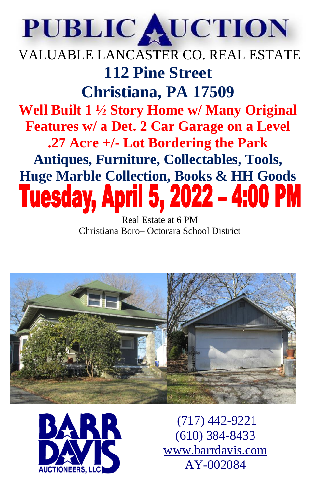# PUBLIC AUCTION

# VALUABLE LANCASTER CO. REAL ESTATE **112 Pine Street Christiana, PA 17509 Well Built 1 ½ Story Home w/ Many Original Features w/ a Det. 2 Car Garage on a Level .27 Acre +/- Lot Bordering the Park Antiques, Furniture, Collectables, Tools,**  Huge Marble Collection, Books & HH Goods<br>**Tuesday, April 5, 2022 - 4:00 PM**

Real Estate at 6 PM Christiana Boro– Octorara School District





(717) 442-9221 (610) 384-8433 [www.barrdavis.com](http://www.barrdavis.com/) AY-002084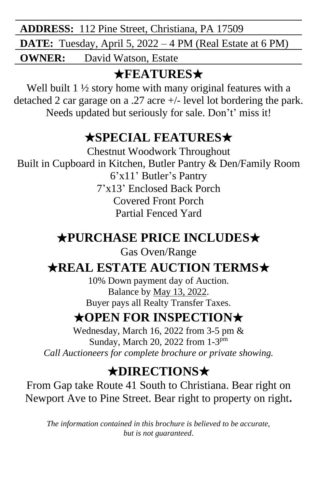**ADDRESS:** 112 Pine Street, Christiana, PA 17509 **DATE:** Tuesday, April 5, 2022 – 4 PM (Real Estate at 6 PM) **OWNER:** David Watson, Estate

## ★**FEATURES**★

Well built 1 <sup>1</sup>/<sub>2</sub> story home with many original features with a detached 2 car garage on a .27 acre +/- level lot bordering the park. Needs updated but seriously for sale. Don't' miss it!

#### ★**SPECIAL FEATURES**★

Chestnut Woodwork Throughout Built in Cupboard in Kitchen, Butler Pantry & Den/Family Room 6'x11' Butler's Pantry 7'x13' Enclosed Back Porch Covered Front Porch Partial Fenced Yard

## ★**PURCHASE PRICE INCLUDES**★

Gas Oven/Range

#### ★**REAL ESTATE AUCTION TERMS**★

10% Down payment day of Auction. Balance by May 13, 2022. Buyer pays all Realty Transfer Taxes.

#### ★**OPEN FOR INSPECTION**★

Wednesday, March 16, 2022 from 3-5 pm & Sunday, March 20, 2022 from 1-3<sup>pm</sup> *Call Auctioneers for complete brochure or private showing.*

## ★**DIRECTIONS**★

From Gap take Route 41 South to Christiana. Bear right on Newport Ave to Pine Street. Bear right to property on right**.**

*The information contained in this brochure is believed to be accurate, but is not guaranteed*.